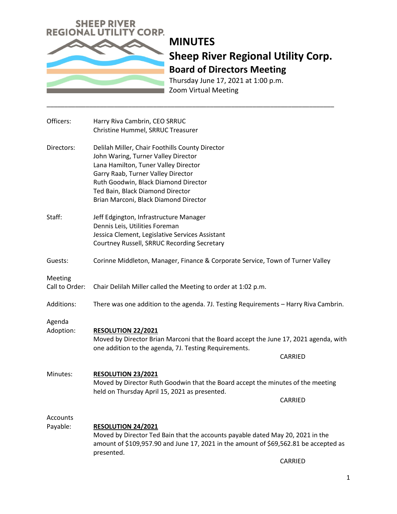

## **MINUTES Sheep River Regional Utility Corp. Board of Directors Meeting**

Thursday June 17, 2021 at 1:00 p.m. Zoom Virtual Meeting

\_\_\_\_\_\_\_\_\_\_\_\_\_\_\_\_\_\_\_\_\_\_\_\_\_\_\_\_\_\_\_\_\_\_\_\_\_\_\_\_\_\_\_\_\_\_\_\_\_\_\_\_\_\_\_\_\_\_\_\_\_\_\_\_\_\_\_\_\_\_\_\_\_\_\_\_\_\_\_\_\_

| Officers:                 | Harry Riva Cambrin, CEO SRRUC<br>Christine Hummel, SRRUC Treasurer                                                                                                                                                                                                                        |
|---------------------------|-------------------------------------------------------------------------------------------------------------------------------------------------------------------------------------------------------------------------------------------------------------------------------------------|
| Directors:                | Delilah Miller, Chair Foothills County Director<br>John Waring, Turner Valley Director<br>Lana Hamilton, Tuner Valley Director<br>Garry Raab, Turner Valley Director<br>Ruth Goodwin, Black Diamond Director<br>Ted Bain, Black Diamond Director<br>Brian Marconi, Black Diamond Director |
| Staff:                    | Jeff Edgington, Infrastructure Manager<br>Dennis Leis, Utilities Foreman<br>Jessica Clement, Legislative Services Assistant<br>Courtney Russell, SRRUC Recording Secretary                                                                                                                |
| Guests:                   | Corinne Middleton, Manager, Finance & Corporate Service, Town of Turner Valley                                                                                                                                                                                                            |
| Meeting<br>Call to Order: | Chair Delilah Miller called the Meeting to order at 1:02 p.m.                                                                                                                                                                                                                             |
| Additions:                | There was one addition to the agenda. 7J. Testing Requirements - Harry Riva Cambrin.                                                                                                                                                                                                      |
| Agenda<br>Adoption:       | <b>RESOLUTION 22/2021</b><br>Moved by Director Brian Marconi that the Board accept the June 17, 2021 agenda, with<br>one addition to the agenda, 7J. Testing Requirements.<br>CARRIED                                                                                                     |
| Minutes:                  | <b>RESOLUTION 23/2021</b><br>Moved by Director Ruth Goodwin that the Board accept the minutes of the meeting<br>held on Thursday April 15, 2021 as presented.<br>CARRIED                                                                                                                  |
| Accounts<br>Payable:      | RESOLUTION 24/2021<br>Moved by Director Ted Bain that the accounts payable dated May 20, 2021 in the<br>amount of \$109,957.90 and June 17, 2021 in the amount of \$69,562.81 be accepted as<br>presented.<br>CARRIED                                                                     |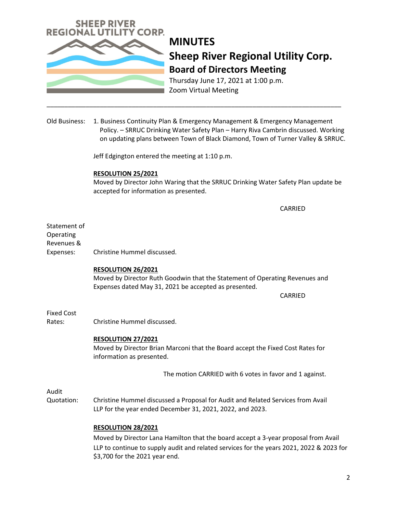

# **MINUTES Sheep River Regional Utility Corp. Board of Directors Meeting**

Thursday June 17, 2021 at 1:00 p.m. Zoom Virtual Meeting

Old Business: 1. Business Continuity Plan & Emergency Management & Emergency Management Policy. – SRRUC Drinking Water Safety Plan – Harry Riva Cambrin discussed. Working on updating plans between Town of Black Diamond, Town of Turner Valley & SRRUC.

\_\_\_\_\_\_\_\_\_\_\_\_\_\_\_\_\_\_\_\_\_\_\_\_\_\_\_\_\_\_\_\_\_\_\_\_\_\_\_\_\_\_\_\_\_\_\_\_\_\_\_\_\_\_\_\_\_\_\_\_\_\_\_\_\_\_\_\_\_\_\_\_\_\_\_\_\_\_\_\_\_\_\_

Jeff Edgington entered the meeting at 1:10 p.m.

#### **RESOLUTION 25/2021**

Moved by Director John Waring that the SRRUC Drinking Water Safety Plan update be accepted for information as presented.

CARRIED

Statement of Operating Revenues & Expenses: Christine Hummel discussed.

#### **RESOLUTION 26/2021**

Moved by Director Ruth Goodwin that the Statement of Operating Revenues and Expenses dated May 31, 2021 be accepted as presented.

CARRIED

Fixed Cost

Rates: Christine Hummel discussed.

### **RESOLUTION 27/2021**

Moved by Director Brian Marconi that the Board accept the Fixed Cost Rates for information as presented.

The motion CARRIED with 6 votes in favor and 1 against.

Audit

Quotation: Christine Hummel discussed a Proposal for Audit and Related Services from Avail LLP for the year ended December 31, 2021, 2022, and 2023.

### **RESOLUTION 28/2021**

 Moved by Director Lana Hamilton that the board accept a 3-year proposal from Avail LLP to continue to supply audit and related services for the years 2021, 2022 & 2023 for \$3,700 for the 2021 year end.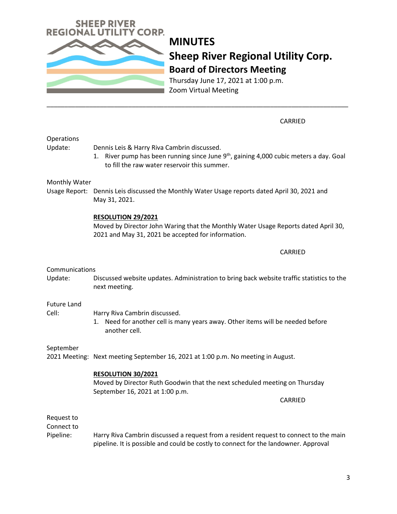

Moved by Director Ruth Goodwin that the next scheduled meeting on Thursday September 16, 2021 at 1:00 p.m.

CARRIED

Request to Connect to

Pipeline: Harry Riva Cambrin discussed a request from a resident request to connect to the main pipeline. It is possible and could be costly to connect for the landowner. Approval